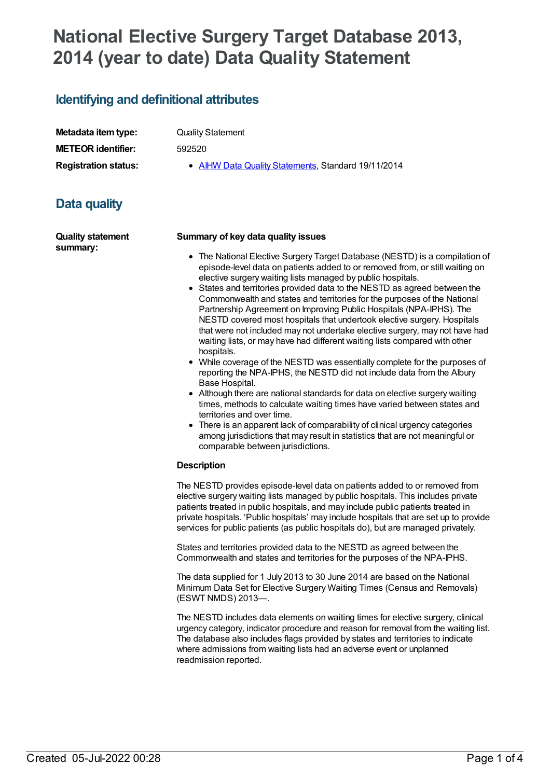# **National Elective Surgery Target Database 2013, 2014 (year to date) Data Quality Statement**

## **Identifying and definitional attributes**

| Metadata item type:         |
|-----------------------------|
| <b>METEOR identifier:</b>   |
| <b>Registration status:</b> |

**Quality Statement** 

**METEOR identifier:** 592520

**AIHW Data Quality [Statements](https://meteor.aihw.gov.au/RegistrationAuthority/5), Standard 19/11/2014** 

## **Data quality**

**Quality statement summary:**

### **Summary of key data quality issues**

- The National Elective Surgery Target Database (NESTD) is a compilation of episode-level data on patients added to or removed from, or still waiting on elective surgery waiting lists managed by public hospitals.
- States and territories provided data to the NESTD as agreed between the Commonwealth and states and territories for the purposes of the National Partnership Agreement on Improving Public Hospitals (NPA-IPHS). The NESTD covered most hospitals that undertook elective surgery. Hospitals that were not included may not undertake elective surgery, may not have had waiting lists, or may have had different waiting lists compared with other hospitals.
- While coverage of the NESTD was essentially complete for the purposes of reporting the NPA-IPHS, the NESTD did not include data from the Albury Base Hospital.
- Although there are national standards for data on elective surgery waiting times, methods to calculate waiting times have varied between states and territories and over time.
- There is an apparent lack of comparability of clinical urgency categories among jurisdictions that may result in statistics that are not meaningful or comparable between jurisdictions.

### **Description**

The NESTD provides episode-level data on patients added to or removed from elective surgery waiting lists managed by public hospitals. This includes private patients treated in public hospitals, and may include public patients treated in private hospitals. 'Public hospitals' may include hospitals that are set up to provide services for public patients (as public hospitals do), but are managed privately.

States and territories provided data to the NESTD as agreed between the Commonwealth and states and territories for the purposes of the NPA-IPHS.

The data supplied for 1 July 2013 to 30 June 2014 are based on the National Minimum Data Set for Elective Surgery Waiting Times (Census and Removals) (ESWT NMDS) 2013—.

The NESTD includes data elements on waiting times for elective surgery, clinical urgency category, indicator procedure and reason for removal from the waiting list. The database also includes flags provided by states and territories to indicate where admissions from waiting lists had an adverse event or unplanned readmission reported.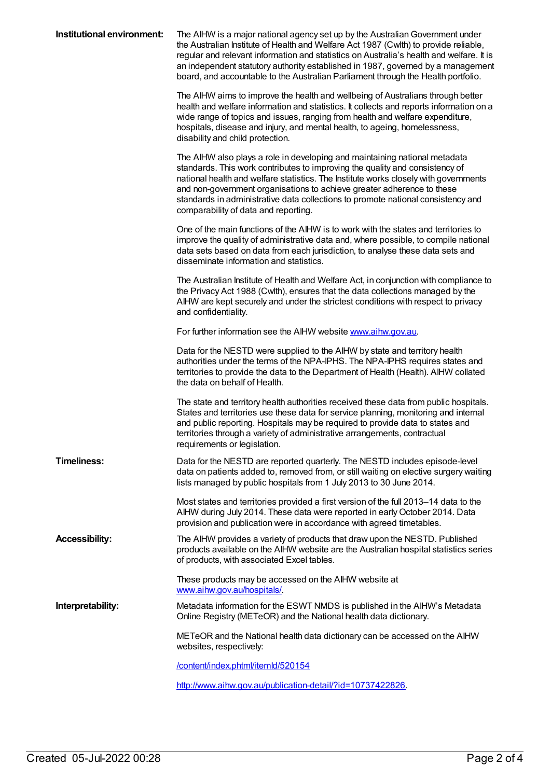| Institutional environment: | The AIHW is a major national agency set up by the Australian Government under<br>the Australian Institute of Health and Welfare Act 1987 (Cwlth) to provide reliable,<br>regular and relevant information and statistics on Australia's health and welfare. It is<br>an independent statutory authority established in 1987, governed by a management<br>board, and accountable to the Australian Parliament through the Health portfolio.               |
|----------------------------|----------------------------------------------------------------------------------------------------------------------------------------------------------------------------------------------------------------------------------------------------------------------------------------------------------------------------------------------------------------------------------------------------------------------------------------------------------|
|                            | The AIHW aims to improve the health and wellbeing of Australians through better<br>health and welfare information and statistics. It collects and reports information on a<br>wide range of topics and issues, ranging from health and welfare expenditure,<br>hospitals, disease and injury, and mental health, to ageing, homelessness,<br>disability and child protection.                                                                            |
|                            | The AIHW also plays a role in developing and maintaining national metadata<br>standards. This work contributes to improving the quality and consistency of<br>national health and welfare statistics. The Institute works closely with governments<br>and non-government organisations to achieve greater adherence to these<br>standards in administrative data collections to promote national consistency and<br>comparability of data and reporting. |
|                            | One of the main functions of the AIHW is to work with the states and territories to<br>improve the quality of administrative data and, where possible, to compile national<br>data sets based on data from each jurisdiction, to analyse these data sets and<br>disseminate information and statistics.                                                                                                                                                  |
|                            | The Australian Institute of Health and Welfare Act, in conjunction with compliance to<br>the Privacy Act 1988 (Cwlth), ensures that the data collections managed by the<br>AIHW are kept securely and under the strictest conditions with respect to privacy<br>and confidentiality.                                                                                                                                                                     |
|                            | For further information see the AIHW website www.aihw.gov.au.                                                                                                                                                                                                                                                                                                                                                                                            |
|                            | Data for the NESTD were supplied to the AIHW by state and territory health<br>authorities under the terms of the NPA-IPHS. The NPA-IPHS requires states and<br>territories to provide the data to the Department of Health (Health). AIHW collated<br>the data on behalf of Health.                                                                                                                                                                      |
|                            | The state and territory health authorities received these data from public hospitals.<br>States and territories use these data for service planning, monitoring and internal<br>and public reporting. Hospitals may be required to provide data to states and<br>territories through a variety of administrative arrangements, contractual<br>requirements or legislation.                                                                               |
| <b>Timeliness:</b>         | Data for the NESTD are reported quarterly. The NESTD includes episode-level<br>data on patients added to, removed from, or still waiting on elective surgery waiting<br>lists managed by public hospitals from 1 July 2013 to 30 June 2014.                                                                                                                                                                                                              |
|                            | Most states and territories provided a first version of the full 2013-14 data to the<br>AIHW during July 2014. These data were reported in early October 2014. Data<br>provision and publication were in accordance with agreed timetables.                                                                                                                                                                                                              |
| <b>Accessibility:</b>      | The AIHW provides a variety of products that draw upon the NESTD. Published<br>products available on the AIHW website are the Australian hospital statistics series<br>of products, with associated Excel tables.                                                                                                                                                                                                                                        |
|                            | These products may be accessed on the AIHW website at<br>www.aihw.gov.au/hospitals/                                                                                                                                                                                                                                                                                                                                                                      |
| Interpretability:          | Metadata information for the ESWT NMDS is published in the AIHW's Metadata<br>Online Registry (METeOR) and the National health data dictionary.                                                                                                                                                                                                                                                                                                          |
|                            | METeOR and the National health data dictionary can be accessed on the AIHW<br>websites, respectively:                                                                                                                                                                                                                                                                                                                                                    |
|                            | /content/index.phtml/itemld/520154                                                                                                                                                                                                                                                                                                                                                                                                                       |
|                            | http://www.aihw.gov.au/publication-detail/?id=10737422826.                                                                                                                                                                                                                                                                                                                                                                                               |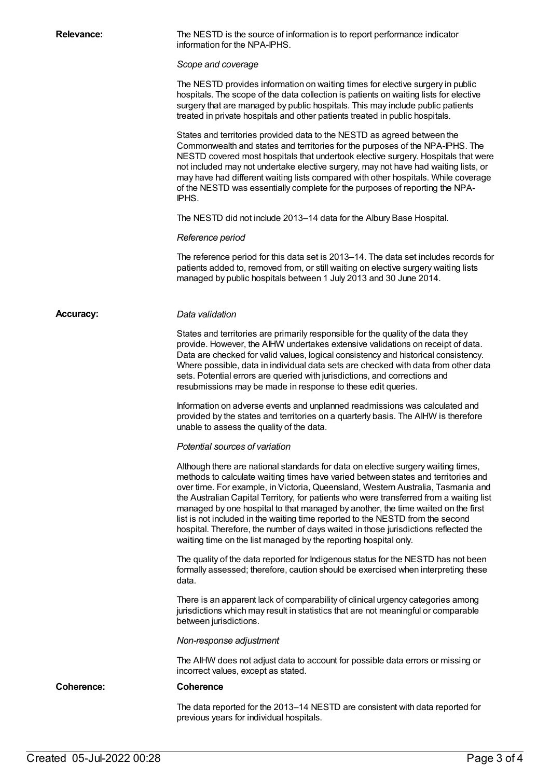**Relevance:** The NESTD is the source of information is to report performance indicator information for the NPA-IPHS.

*Scope and coverage*

The NESTD provides information on waiting times for elective surgery in public hospitals. The scope of the data collection is patients on waiting lists for elective surgery that are managed by public hospitals. This may include public patients treated in private hospitals and other patients treated in public hospitals.

States and territories provided data to the NESTD as agreed between the Commonwealth and states and territories for the purposes of the NPA-IPHS. The NESTD covered most hospitals that undertook elective surgery. Hospitals that were not included may not undertake elective surgery, may not have had waiting lists, or may have had different waiting lists compared with other hospitals. While coverage of the NESTD was essentially complete for the purposes of reporting the NPA-IPHS.

The NESTD did not include 2013–14 data for the Albury Base Hospital.

### *Reference period*

The reference period for this data set is 2013–14. The data set includes records for patients added to, removed from, or still waiting on elective surgery waiting lists managed by public hospitals between 1 July 2013 and 30 June 2014.

### **Accuracy:** *Data validation*

States and territories are primarily responsible for the quality of the data they provide. However, the AIHW undertakes extensive validations on receipt of data. Data are checked for valid values, logical consistency and historical consistency. Where possible, data in individual data sets are checked with data from other data sets. Potential errors are queried with jurisdictions, and corrections and resubmissions may be made in response to these edit queries.

Information on adverse events and unplanned readmissions was calculated and provided by the states and territories on a quarterly basis. The AIHW is therefore unable to assess the quality of the data.

*Potential sources of variation*

Although there are national standards for data on elective surgery waiting times, methods to calculate waiting times have varied between states and territories and over time. For example, in Victoria, Queensland, Western Australia, Tasmania and the Australian Capital Territory, for patients who were transferred from a waiting list managed by one hospital to that managed by another, the time waited on the first list is not included in the waiting time reported to the NESTD from the second hospital. Therefore, the number of days waited in those jurisdictions reflected the waiting time on the list managed by the reporting hospital only.

The quality of the data reported for Indigenous status for the NESTD has not been formally assessed; therefore, caution should be exercised when interpreting these data.

There is an apparent lack of comparability of clinical urgency categories among jurisdictions which may result in statistics that are not meaningful or comparable between jurisdictions.

### *Non-response adjustment*

The AIHW does not adjust data to account for possible data errors or missing or incorrect values, except as stated.

**Coherence: Coherence**

The data reported for the 2013–14 NESTD are consistent with data reported for previous years for individual hospitals.